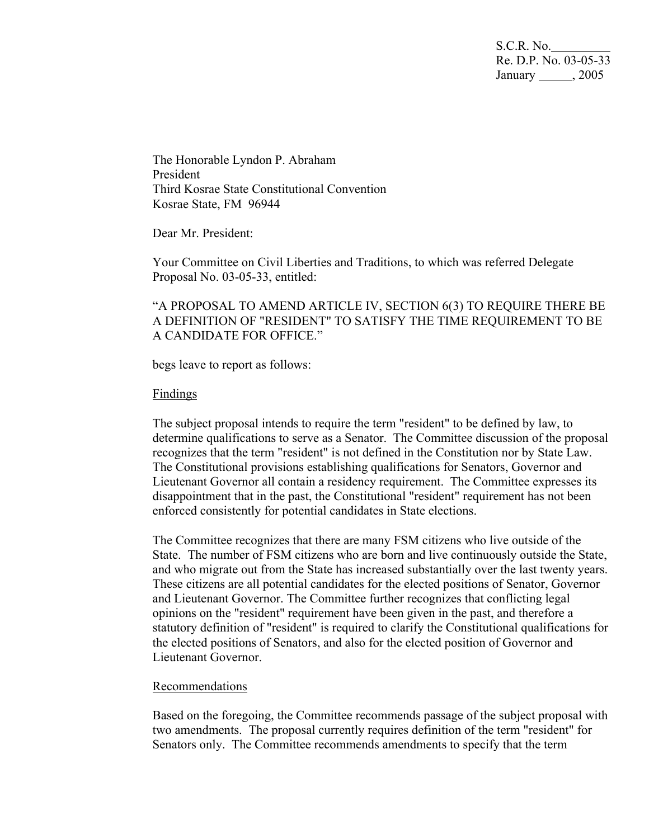S.C.R. No. Re. D.P. No. 03-05-33 January \_\_\_\_\_\_, 2005

The Honorable Lyndon P. Abraham President Third Kosrae State Constitutional Convention Kosrae State, FM 96944

Dear Mr. President:

Your Committee on Civil Liberties and Traditions, to which was referred Delegate Proposal No. 03-05-33, entitled:

"A PROPOSAL TO AMEND ARTICLE IV, SECTION 6(3) TO REQUIRE THERE BE A DEFINITION OF "RESIDENT" TO SATISFY THE TIME REQUIREMENT TO BE A CANDIDATE FOR OFFICE."

begs leave to report as follows:

## Findings

The subject proposal intends to require the term "resident" to be defined by law, to determine qualifications to serve as a Senator. The Committee discussion of the proposal recognizes that the term "resident" is not defined in the Constitution nor by State Law. The Constitutional provisions establishing qualifications for Senators, Governor and Lieutenant Governor all contain a residency requirement. The Committee expresses its disappointment that in the past, the Constitutional "resident" requirement has not been enforced consistently for potential candidates in State elections.

The Committee recognizes that there are many FSM citizens who live outside of the State. The number of FSM citizens who are born and live continuously outside the State, and who migrate out from the State has increased substantially over the last twenty years. These citizens are all potential candidates for the elected positions of Senator, Governor and Lieutenant Governor. The Committee further recognizes that conflicting legal opinions on the "resident" requirement have been given in the past, and therefore a statutory definition of "resident" is required to clarify the Constitutional qualifications for the elected positions of Senators, and also for the elected position of Governor and Lieutenant Governor.

## Recommendations

Based on the foregoing, the Committee recommends passage of the subject proposal with two amendments. The proposal currently requires definition of the term "resident" for Senators only. The Committee recommends amendments to specify that the term